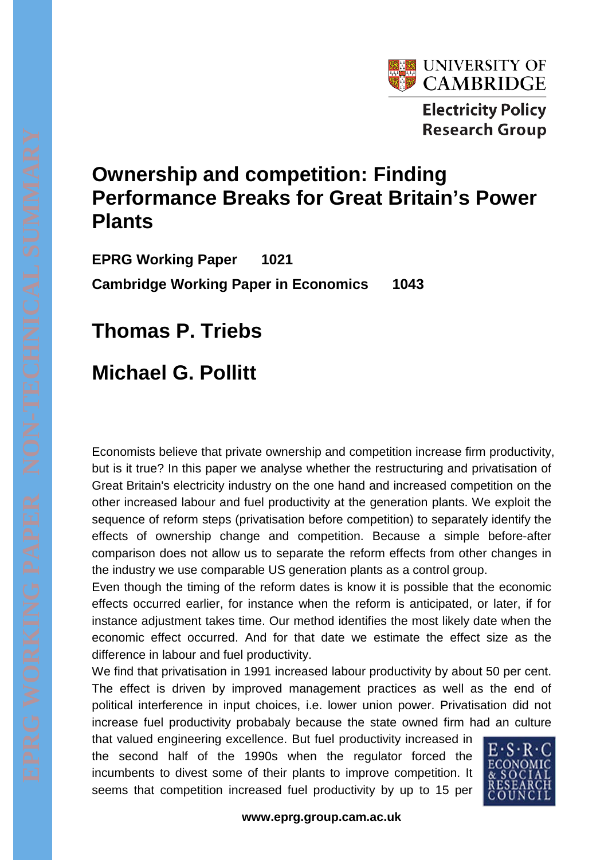

**Electricity Policy Research Group** 

## **Ownership and competition: Finding Performance Breaks for Great Britain's Power Plants**

**EPRG Working Paper 1021 Cambridge Working Paper in Economics 1043**

**Thomas P. Triebs** 

## **Michael G. Pollitt**

Economists believe that private ownership and competition increase firm productivity, but is it true? In this paper we analyse whether the restructuring and privatisation of Great Britain's electricity industry on the one hand and increased competition on the other increased labour and fuel productivity at the generation plants. We exploit the sequence of reform steps (privatisation before competition) to separately identify the effects of ownership change and competition. Because a simple before-after comparison does not allow us to separate the reform effects from other changes in the industry we use comparable US generation plants as a control group.

Even though the timing of the reform dates is know it is possible that the economic effects occurred earlier, for instance when the reform is anticipated, or later, if for instance adjustment takes time. Our method identifies the most likely date when the economic effect occurred. And for that date we estimate the effect size as the difference in labour and fuel productivity.

We find that privatisation in 1991 increased labour productivity by about 50 per cent. The effect is driven by improved management practices as well as the end of political interference in input choices, i.e. lower union power. Privatisation did not increase fuel productivity probabaly because the state owned firm had an culture

that valued engineering excellence. But fuel productivity increased in the second half of the 1990s when the regulator forced the incumbents to divest some of their plants to improve competition. It seems that competition increased fuel productivity by up to 15 per